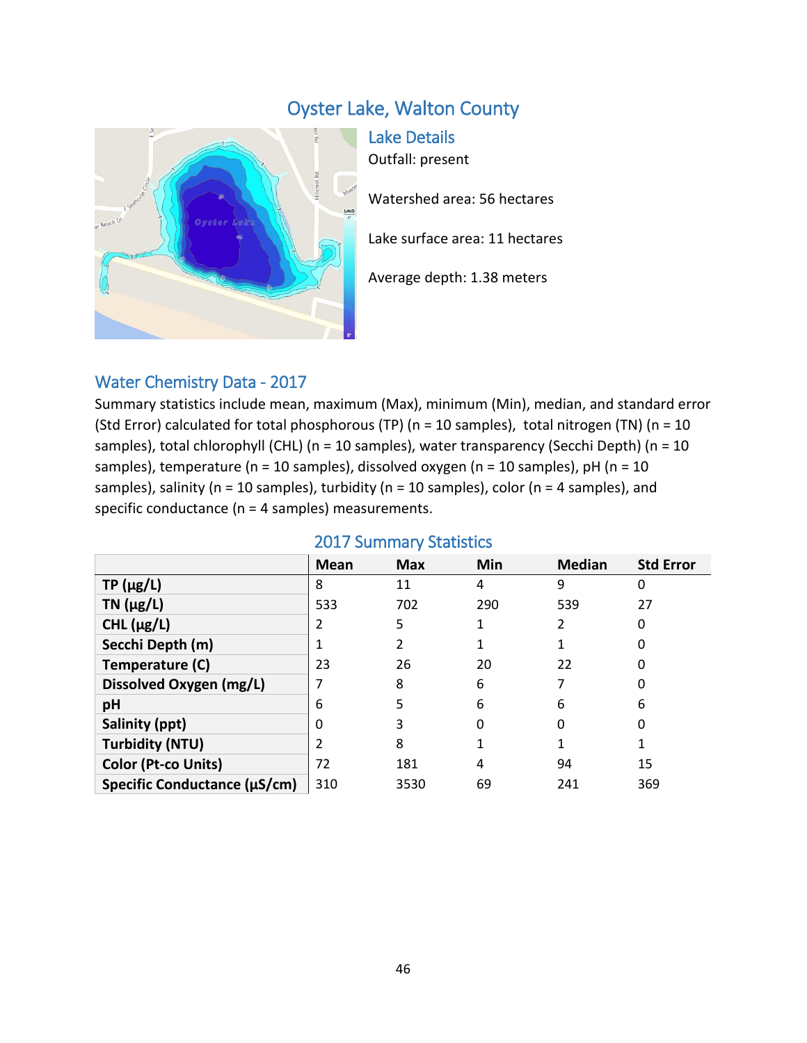# Oyster Lake, Walton County



Lake Details Outfall: present

Watershed area: 56 hectares

Lake surface area: 11 hectares

Average depth: 1.38 meters

## Water Chemistry Data - 2017

Summary statistics include mean, maximum (Max), minimum (Min), median, and standard error (Std Error) calculated for total phosphorous (TP) (n = 10 samples), total nitrogen (TN) (n = 10 samples), total chlorophyll (CHL) (n = 10 samples), water transparency (Secchi Depth) (n = 10 samples), temperature ( $n = 10$  samples), dissolved oxygen ( $n = 10$  samples),  $pH$  ( $n = 10$ samples), salinity (n = 10 samples), turbidity (n = 10 samples), color (n = 4 samples), and specific conductance (n = 4 samples) measurements.

|                              | Mean | <b>Max</b> | Min | <b>Median</b> | <b>Std Error</b> |
|------------------------------|------|------------|-----|---------------|------------------|
| $TP(\mu g/L)$                | 8    | 11         | 4   | 9             | 0                |
| $TN$ ( $\mu$ g/L)            | 533  | 702        | 290 | 539           | 27               |
| CHL $(\mu g/L)$              | 2    | 5          | 1   | 2             | 0                |
| Secchi Depth (m)             |      |            | 1   | 1             | 0                |
| Temperature (C)              | 23   | 26         | 20  | 22            | 0                |
| Dissolved Oxygen (mg/L)      |      | 8          | 6   |               | 0                |
| pH                           | 6    | 5          | 6   | 6             | 6                |
| Salinity (ppt)               | 0    | 3          | 0   | 0             | 0                |
| <b>Turbidity (NTU)</b>       | 2    | 8          |     | 1             | 1                |
| <b>Color (Pt-co Units)</b>   | 72   | 181        | 4   | 94            | 15               |
| Specific Conductance (µS/cm) | 310  | 3530       | 69  | 241           | 369              |

#### 2017 Summary Statistics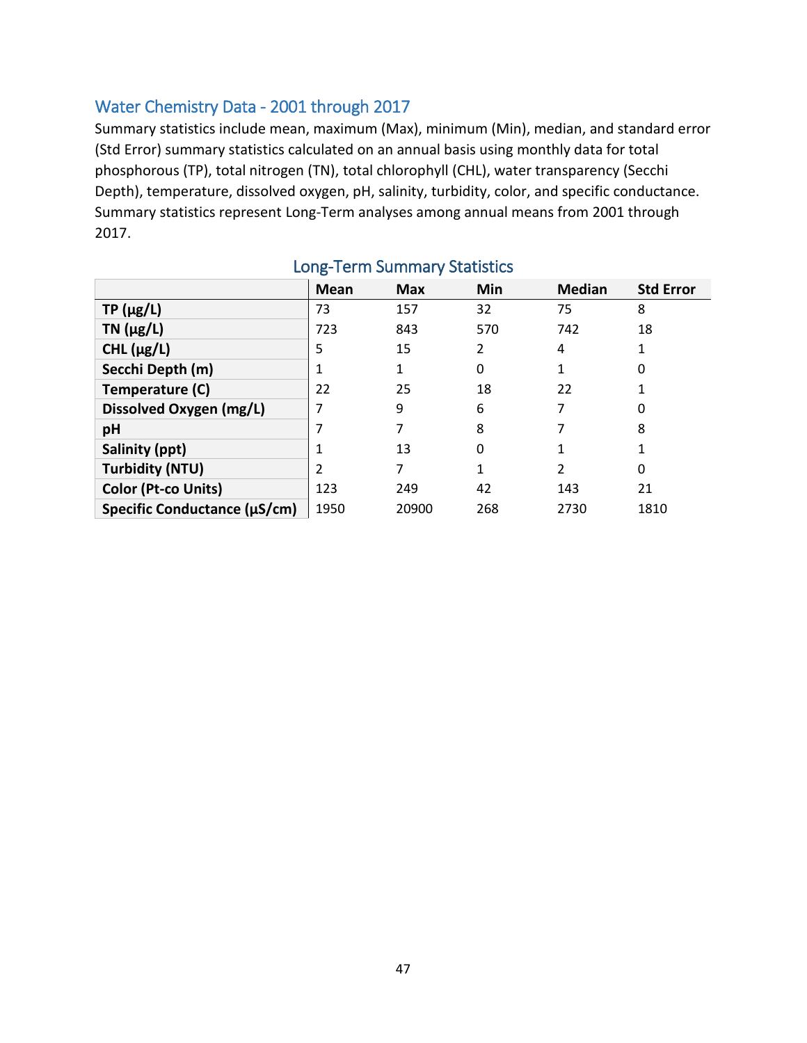## Water Chemistry Data - 2001 through 2017

Summary statistics include mean, maximum (Max), minimum (Min), median, and standard error (Std Error) summary statistics calculated on an annual basis using monthly data for total phosphorous (TP), total nitrogen (TN), total chlorophyll (CHL), water transparency (Secchi Depth), temperature, dissolved oxygen, pH, salinity, turbidity, color, and specific conductance. Summary statistics represent Long-Term analyses among annual means from 2001 through 2017.

|                              | <b>Mean</b> | <b>Max</b> | Min          | <b>Median</b> | <b>Std Error</b> |
|------------------------------|-------------|------------|--------------|---------------|------------------|
| $TP(\mu g/L)$                | 73          | 157        | 32           | 75            | 8                |
| $TN$ ( $\mu$ g/L)            | 723         | 843        | 570          | 742           | 18               |
| CHL $(\mu g/L)$              | 5           | 15         | 2            | 4             |                  |
| Secchi Depth (m)             |             |            | 0            |               | 0                |
| Temperature (C)              | 22          | 25         | 18           | 22            |                  |
| Dissolved Oxygen (mg/L)      |             | 9          | 6            | 7             | 0                |
| pH                           |             |            | 8            |               | 8                |
| Salinity (ppt)               |             | 13         | $\mathbf{0}$ |               |                  |
| <b>Turbidity (NTU)</b>       | 2           |            | 1            | 2             | 0                |
| Color (Pt-co Units)          | 123         | 249        | 42           | 143           | 21               |
| Specific Conductance (µS/cm) | 1950        | 20900      | 268          | 2730          | 1810             |

## Long-Term Summary Statistics